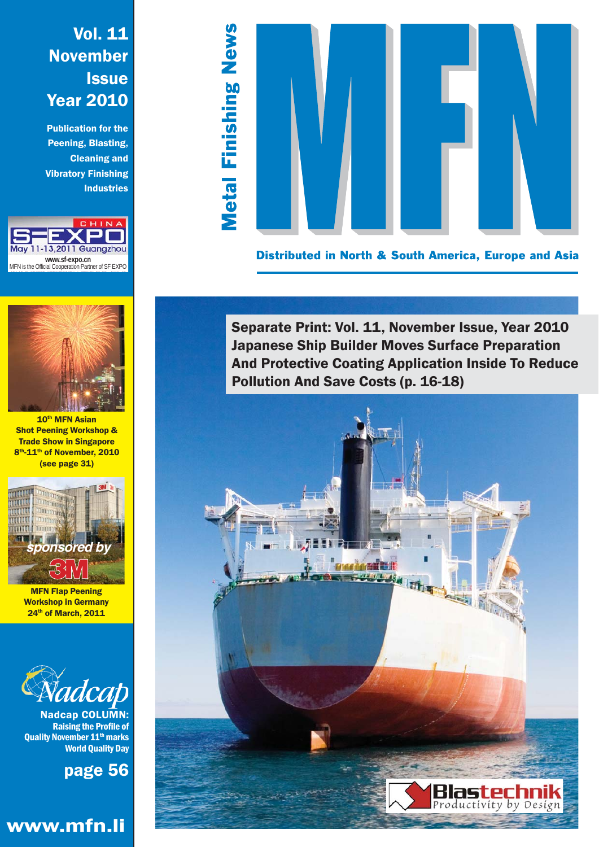## Vol. 11 November **Issue** Year 2010

Publication for the Peening, Blasting, Cleaning and Vibratory Finishing **Industries** 





10<sup>th</sup> MFN Asian Shot Peening Workshop & Trade Show in Singapore 8<sup>th</sup>-11<sup>th</sup> of November, 2010 (see page 31)



MFN Flap Peening Workshop in Germany 24<sup>th</sup> of March, 2011



Nadcap COLUMN: Raising the Profile of Quality November 11<sup>th</sup> marks World Quality Day

page 56

## www.mfn.li



Distributed in North & South America, Europe and Asia

Separate Print: Vol. 11, November Issue, Year 2010 Japanese Ship Builder Moves Surface Preparation And Protective Coating Application Inside To Reduce Pollution And Save Costs (p. 16-18)

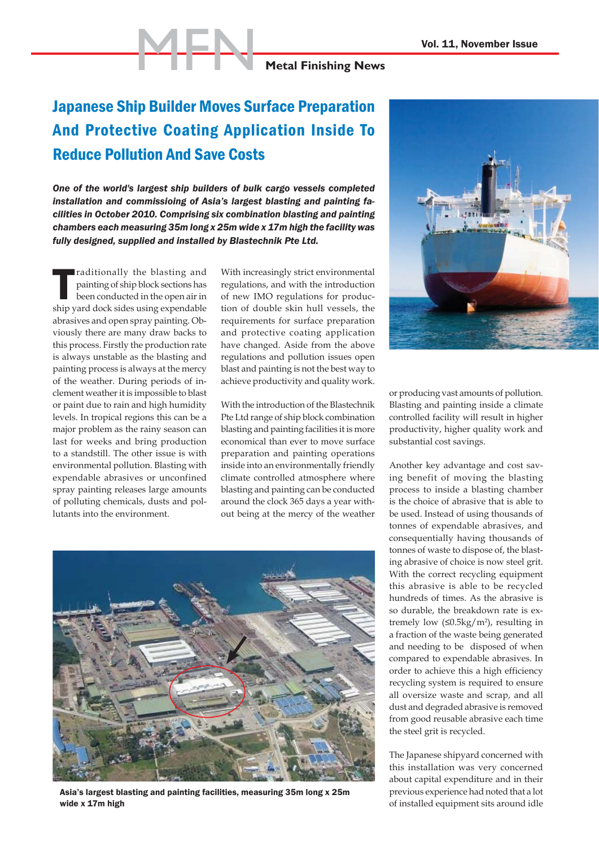Matal Finishing News<br>Metal Finishing News

## Japanese Ship Builder Moves Surface Preparation And Protective Coating Application Inside To Reduce Pollution And Save Costs

*One of the world's largest ship builders of bulk cargo vessels completed installation and commissioing of Asia's largest blasting and painting facilities in October 2010. Comprising six combination blasting and painting chambers each measuring 35m long x 25m wide x 17m high the facility was fully designed, supplied and installed by Blastechnik Pte Ltd.*

raditionally the blasting and<br>painting of ship block sections has<br>been conducted in the open air in<br>ship yard dock sides using expendable raditionally the blasting and painting of ship block sections has been conducted in the open air in abrasives and open spray painting. Obviously there are many draw backs to this process. Firstly the production rate is always unstable as the blasting and painting process is always at the mercy of the weather. During periods of inclement weather it is impossible to blast or paint due to rain and high humidity levels. In tropical regions this can be a major problem as the rainy season can last for weeks and bring production to a standstill. The other issue is with environmental pollution. Blasting with expendable abrasives or unconfined spray painting releases large amounts of polluting chemicals, dusts and pollutants into the environment.

With increasingly strict environmental regulations, and with the introduction of new IMO regulations for production of double skin hull vessels, the requirements for surface preparation and protective coating application have changed. Aside from the above regulations and pollution issues open blast and painting is not the best way to achieve productivity and quality work.

With the introduction of the Blastechnik Pte Ltd range of ship block combination blasting and painting facilities it is more economical than ever to move surface preparation and painting operations inside into an environmentally friendly climate controlled atmosphere where blasting and painting can be conducted around the clock 365 days a year without being at the mercy of the weather



Asia's largest blasting and painting facilities, measuring 35m long x 25m wide x 17m high



or producing vast amounts of pollution. Blasting and painting inside a climate controlled facility will result in higher productivity, higher quality work and substantial cost savings.

Another key advantage and cost saving benefit of moving the blasting process to inside a blasting chamber is the choice of abrasive that is able to be used. Instead of using thousands of tonnes of expendable abrasives, and consequentially having thousands of tonnes of waste to dispose of, the blasting abrasive of choice is now steel grit. With the correct recycling equipment this abrasive is able to be recycled hundreds of times. As the abrasive is so durable, the breakdown rate is extremely low  $(\leq 0.5 \text{kg/m}^2)$ , resulting in a fraction of the waste being generated and needing to be disposed of when compared to expendable abrasives. In order to achieve this a high efficiency recycling system is required to ensure all oversize waste and scrap, and all dust and degraded abrasive is removed from good reusable abrasive each time the steel grit is recycled.

The Japanese shipyard concerned with this installation was very concerned about capital expenditure and in their previous experience had noted that a lot of installed equipment sits around idle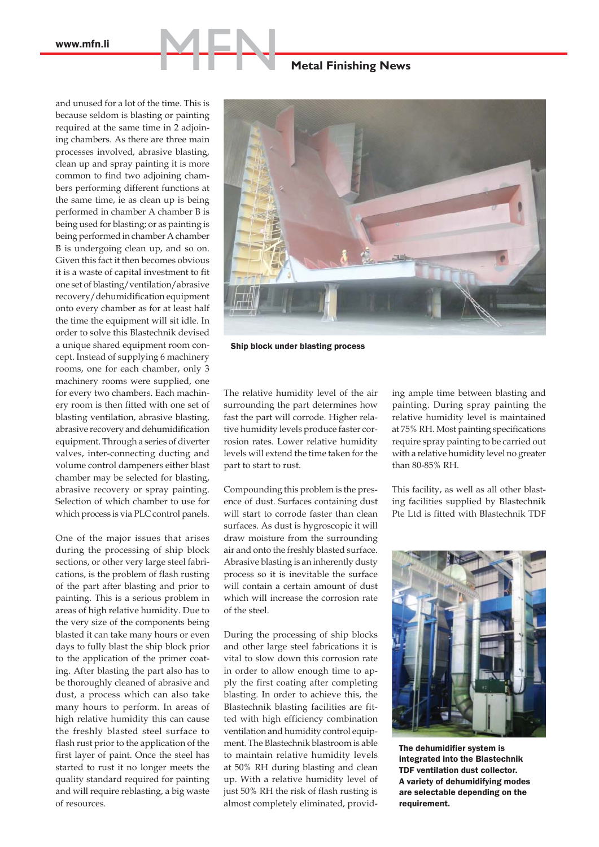www.mfn.li

Matal Finishing News<br>Metal Finishing News

and unused for a lot of the time. This is because seldom is blasting or painting required at the same time in 2 adjoining chambers. As there are three main processes involved, abrasive blasting, clean up and spray painting it is more common to find two adjoining chambers performing different functions at the same time, ie as clean up is being performed in chamber A chamber B is being used for blasting; or as painting is being performed in chamber A chamber B is undergoing clean up, and so on. Given this fact it then becomes obvious it is a waste of capital investment to fit one set of blasting/ventilation/abrasive recovery/dehumidification equipment onto every chamber as for at least half the time the equipment will sit idle. In order to solve this Blastechnik devised a unique shared equipment room concept. Instead of supplying 6 machinery rooms, one for each chamber, only 3 machinery rooms were supplied, one for every two chambers. Each machinery room is then fitted with one set of blasting ventilation, abrasive blasting, abrasive recovery and dehumidification equipment. Through a series of diverter valves, inter-connecting ducting and volume control dampeners either blast chamber may be selected for blasting, abrasive recovery or spray painting. Selection of which chamber to use for which process is via PLC control panels.

One of the major issues that arises during the processing of ship block sections, or other very large steel fabrications, is the problem of flash rusting of the part after blasting and prior to painting. This is a serious problem in areas of high relative humidity. Due to the very size of the components being blasted it can take many hours or even days to fully blast the ship block prior to the application of the primer coating. After blasting the part also has to be thoroughly cleaned of abrasive and dust, a process which can also take many hours to perform. In areas of high relative humidity this can cause the freshly blasted steel surface to flash rust prior to the application of the first layer of paint. Once the steel has started to rust it no longer meets the quality standard required for painting and will require reblasting, a big waste of resources.



Ship block under blasting process

The relative humidity level of the air surrounding the part determines how fast the part will corrode. Higher relative humidity levels produce faster corrosion rates. Lower relative humidity levels will extend the time taken for the part to start to rust.

Compounding this problem is the presence of dust. Surfaces containing dust will start to corrode faster than clean surfaces. As dust is hygroscopic it will draw moisture from the surrounding air and onto the freshly blasted surface. Abrasive blasting is an inherently dusty process so it is inevitable the surface will contain a certain amount of dust which will increase the corrosion rate of the steel.

During the processing of ship blocks and other large steel fabrications it is vital to slow down this corrosion rate in order to allow enough time to apply the first coating after completing blasting. In order to achieve this, the Blastechnik blasting facilities are fitted with high efficiency combination ventilation and humidity control equipment. The Blastechnik blastroom is able to maintain relative humidity levels at 50% RH during blasting and clean up. With a relative humidity level of just 50% RH the risk of flash rusting is almost completely eliminated, providing ample time between blasting and painting. During spray painting the relative humidity level is maintained at 75% RH. Most painting specifications require spray painting to be carried out with a relative humidity level no greater than 80-85% RH.

This facility, as well as all other blasting facilities supplied by Blastechnik Pte Ltd is fitted with Blastechnik TDF



The dehumidifier system is integrated into the Blastechnik TDF ventilation dust collector. A variety of dehumidifying modes are selectable depending on the requirement.